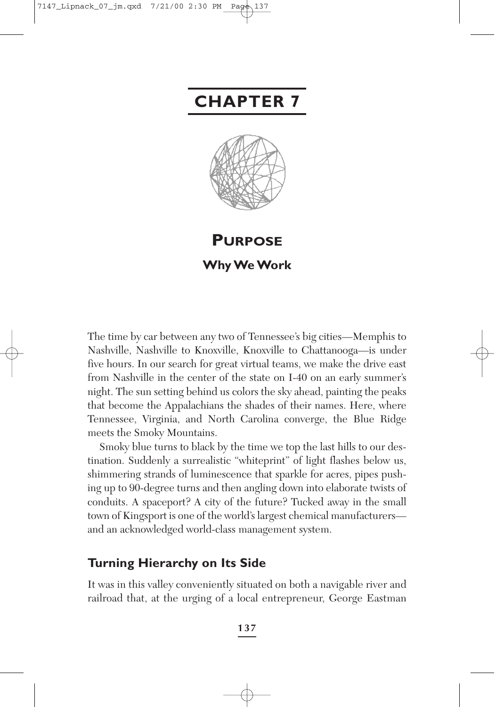# **CHAPTER 7**



**PURPOSE**

**Why We Work**

The time by car between any two of Tennessee's big cities—Memphis to Nashville, Nashville to Knoxville, Knoxville to Chattanooga—is under five hours. In our search for great virtual teams, we make the drive east from Nashville in the center of the state on I-40 on an early summer's night. The sun setting behind us colors the sky ahead, painting the peaks that become the Appalachians the shades of their names. Here, where Tennessee, Virginia, and North Carolina converge, the Blue Ridge meets the Smoky Mountains.

Smoky blue turns to black by the time we top the last hills to our destination. Suddenly a surrealistic "whiteprint" of light flashes below us, shimmering strands of luminescence that sparkle for acres, pipes pushing up to 90-degree turns and then angling down into elaborate twists of conduits. A spaceport? A city of the future? Tucked away in the small town of Kingsport is one of the world's largest chemical manufacturers and an acknowledged world-class management system.

## **Turning Hierarchy on Its Side**

It was in this valley conveniently situated on both a navigable river and railroad that, at the urging of a local entrepreneur, George Eastman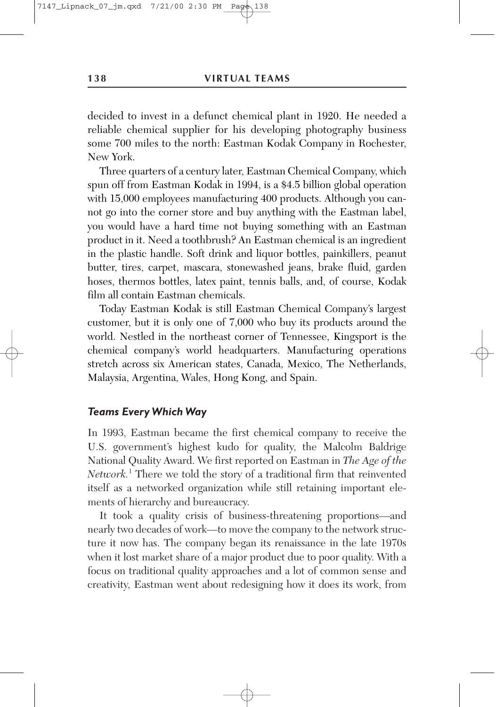decided to invest in a defunct chemical plant in 1920. He needed a reliable chemical supplier for his developing photography business some 700 miles to the north: Eastman Kodak Company in Rochester, New York.

Three quarters of a century later, Eastman Chemical Company, which spun off from Eastman Kodak in 1994, is a \$4.5 billion global operation with 15,000 employees manufacturing 400 products. Although you cannot go into the corner store and buy anything with the Eastman label, you would have a hard time not buying something with an Eastman product in it. Need a toothbrush? An Eastman chemical is an ingredient in the plastic handle. Soft drink and liquor bottles, painkillers, peanut butter, tires, carpet, mascara, stonewashed jeans, brake fluid, garden hoses, thermos bottles, latex paint, tennis balls, and, of course, Kodak film all contain Eastman chemicals.

Today Eastman Kodak is still Eastman Chemical Company's largest customer, but it is only one of 7,000 who buy its products around the world. Nestled in the northeast corner of Tennessee, Kingsport is the chemical company's world headquarters. Manufacturing operations stretch across six American states, Canada, Mexico, The Netherlands, Malaysia, Argentina, Wales, Hong Kong, and Spain.

#### *Teams Every Which Way*

In 1993, Eastman became the first chemical company to receive the U.S. government's highest kudo for quality, the Malcolm Baldrige National Quality Award. We first reported on Eastman in *The Age of the Network.*<sup>1</sup> There we told the story of a traditional firm that reinvented itself as a networked organization while still retaining important elements of hierarchy and bureaucracy.

It took a quality crisis of business-threatening proportions—and nearly two decades of work—to move the company to the network structure it now has. The company began its renaissance in the late 1970s when it lost market share of a major product due to poor quality. With a focus on traditional quality approaches and a lot of common sense and creativity, Eastman went about redesigning how it does its work, from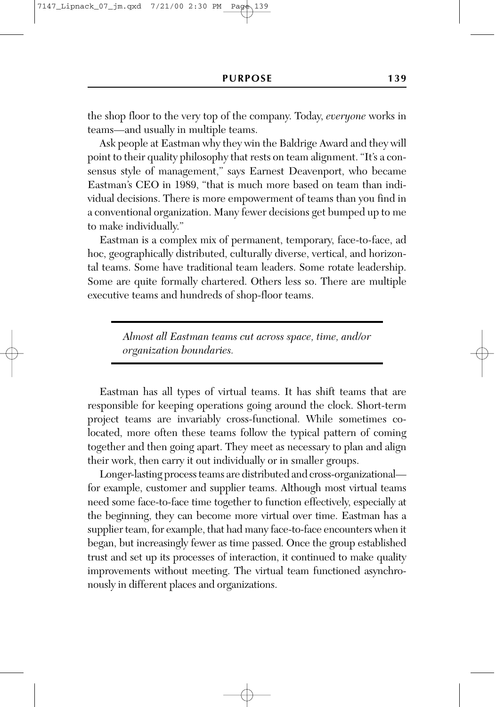the shop floor to the very top of the company. Today, *everyone* works in teams—and usually in multiple teams.

Ask people at Eastman why they win the Baldrige Award and they will point to their quality philosophy that rests on team alignment. "It's a consensus style of management," says Earnest Deavenport, who became Eastman's CEO in 1989, "that is much more based on team than individual decisions. There is more empowerment of teams than you find in a conventional organization. Many fewer decisions get bumped up to me to make individually."

Eastman is a complex mix of permanent, temporary, face-to-face, ad hoc, geographically distributed, culturally diverse, vertical, and horizontal teams. Some have traditional team leaders. Some rotate leadership. Some are quite formally chartered. Others less so. There are multiple executive teams and hundreds of shop-floor teams.

> *Almost all Eastman teams cut across space, time, and/or organization boundaries.*

Eastman has all types of virtual teams. It has shift teams that are responsible for keeping operations going around the clock. Short-term project teams are invariably cross-functional. While sometimes colocated, more often these teams follow the typical pattern of coming together and then going apart. They meet as necessary to plan and align their work, then carry it out individually or in smaller groups.

Longer-lasting process teams are distributed and cross-organizational for example, customer and supplier teams. Although most virtual teams need some face-to-face time together to function effectively, especially at the beginning, they can become more virtual over time. Eastman has a supplier team, for example, that had many face-to-face encounters when it began, but increasingly fewer as time passed. Once the group established trust and set up its processes of interaction, it continued to make quality improvements without meeting. The virtual team functioned asynchronously in different places and organizations.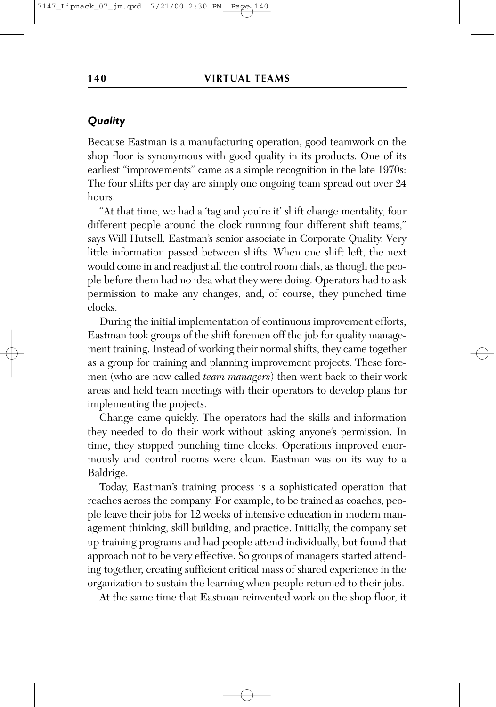## *Quality*

Because Eastman is a manufacturing operation, good teamwork on the shop floor is synonymous with good quality in its products. One of its earliest "improvements" came as a simple recognition in the late 1970s: The four shifts per day are simply one ongoing team spread out over 24 hours.

"At that time, we had a 'tag and you're it' shift change mentality, four different people around the clock running four different shift teams," says Will Hutsell, Eastman's senior associate in Corporate Quality. Very little information passed between shifts. When one shift left, the next would come in and readjust all the control room dials, as though the people before them had no idea what they were doing. Operators had to ask permission to make any changes, and, of course, they punched time clocks.

During the initial implementation of continuous improvement efforts, Eastman took groups of the shift foremen off the job for quality management training. Instead of working their normal shifts, they came together as a group for training and planning improvement projects. These foremen (who are now called *team managers*) then went back to their work areas and held team meetings with their operators to develop plans for implementing the projects.

Change came quickly. The operators had the skills and information they needed to do their work without asking anyone's permission. In time, they stopped punching time clocks. Operations improved enormously and control rooms were clean. Eastman was on its way to a Baldrige.

Today, Eastman's training process is a sophisticated operation that reaches across the company. For example, to be trained as coaches, people leave their jobs for 12 weeks of intensive education in modern management thinking, skill building, and practice. Initially, the company set up training programs and had people attend individually, but found that approach not to be very effective. So groups of managers started attending together, creating sufficient critical mass of shared experience in the organization to sustain the learning when people returned to their jobs.

At the same time that Eastman reinvented work on the shop floor, it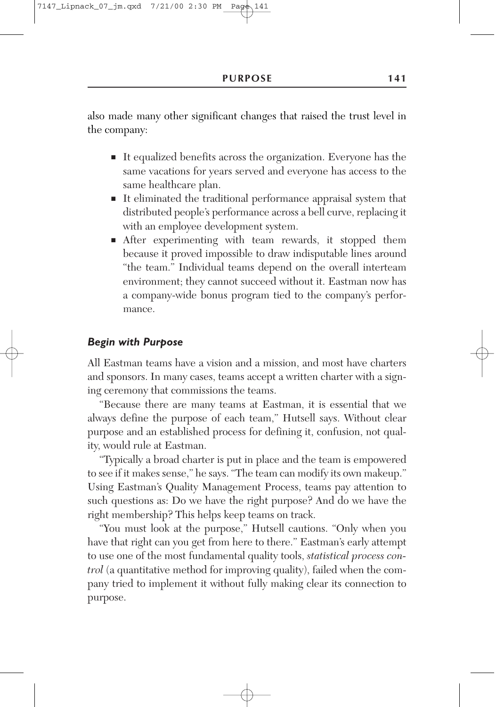also made many other significant changes that raised the trust level in the company:

- It equalized benefits across the organization. Everyone has the same vacations for years served and everyone has access to the same healthcare plan.
- It eliminated the traditional performance appraisal system that distributed people's performance across a bell curve, replacing it with an employee development system.
- After experimenting with team rewards, it stopped them because it proved impossible to draw indisputable lines around "the team." Individual teams depend on the overall interteam environment; they cannot succeed without it. Eastman now has a company-wide bonus program tied to the company's performance.

## *Begin with Purpose*

All Eastman teams have a vision and a mission, and most have charters and sponsors. In many cases, teams accept a written charter with a signing ceremony that commissions the teams.

"Because there are many teams at Eastman, it is essential that we always define the purpose of each team," Hutsell says. Without clear purpose and an established process for defining it, confusion, not quality, would rule at Eastman.

"Typically a broad charter is put in place and the team is empowered to see if it makes sense," he says. "The team can modify its own makeup." Using Eastman's Quality Management Process, teams pay attention to such questions as: Do we have the right purpose? And do we have the right membership? This helps keep teams on track.

"You must look at the purpose," Hutsell cautions. "Only when you have that right can you get from here to there." Eastman's early attempt to use one of the most fundamental quality tools, *statistical process control* (a quantitative method for improving quality), failed when the company tried to implement it without fully making clear its connection to purpose.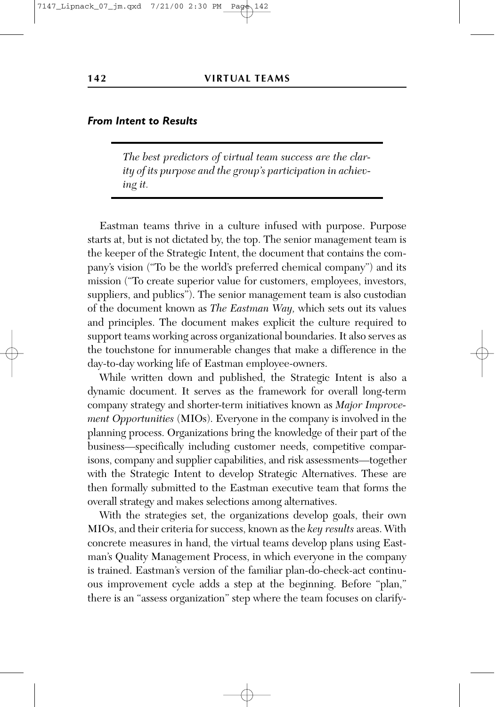#### *From Intent to Results*

*The best predictors of virtual team success are the clarity of its purpose and the group's participation in achieving it.*

Eastman teams thrive in a culture infused with purpose. Purpose starts at, but is not dictated by, the top. The senior management team is the keeper of the Strategic Intent, the document that contains the company's vision ("To be the world's preferred chemical company") and its mission ("To create superior value for customers, employees, investors, suppliers, and publics"). The senior management team is also custodian of the document known as *The Eastman Way,* which sets out its values and principles. The document makes explicit the culture required to support teams working across organizational boundaries. It also serves as the touchstone for innumerable changes that make a difference in the day-to-day working life of Eastman employee-owners.

While written down and published, the Strategic Intent is also a dynamic document. It serves as the framework for overall long-term company strategy and shorter-term initiatives known as *Major Improvement Opportunities* (MIOs). Everyone in the company is involved in the planning process. Organizations bring the knowledge of their part of the business—specifically including customer needs, competitive comparisons, company and supplier capabilities, and risk assessments—together with the Strategic Intent to develop Strategic Alternatives. These are then formally submitted to the Eastman executive team that forms the overall strategy and makes selections among alternatives.

With the strategies set, the organizations develop goals, their own MIOs, and their criteria for success, known as the *key results* areas. With concrete measures in hand, the virtual teams develop plans using Eastman's Quality Management Process, in which everyone in the company is trained. Eastman's version of the familiar plan-do-check-act continuous improvement cycle adds a step at the beginning. Before "plan," there is an "assess organization" step where the team focuses on clarify-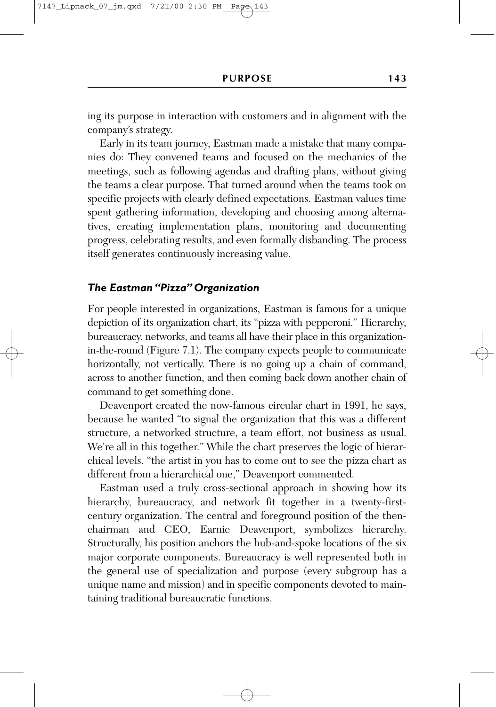ing its purpose in interaction with customers and in alignment with the company's strategy.

Early in its team journey, Eastman made a mistake that many companies do: They convened teams and focused on the mechanics of the meetings, such as following agendas and drafting plans, without giving the teams a clear purpose. That turned around when the teams took on specific projects with clearly defined expectations. Eastman values time spent gathering information, developing and choosing among alternatives, creating implementation plans, monitoring and documenting progress, celebrating results, and even formally disbanding. The process itself generates continuously increasing value.

## *The Eastman "Pizza" Organization*

For people interested in organizations, Eastman is famous for a unique depiction of its organization chart, its "pizza with pepperoni." Hierarchy, bureaucracy, networks, and teams all have their place in this organizationin-the-round (Figure 7.1). The company expects people to communicate horizontally, not vertically. There is no going up a chain of command, across to another function, and then coming back down another chain of command to get something done.

Deavenport created the now-famous circular chart in 1991, he says, because he wanted "to signal the organization that this was a different structure, a networked structure, a team effort, not business as usual. We're all in this together." While the chart preserves the logic of hierarchical levels, "the artist in you has to come out to see the pizza chart as different from a hierarchical one," Deavenport commented.

Eastman used a truly cross-sectional approach in showing how its hierarchy, bureaucracy, and network fit together in a twenty-firstcentury organization. The central and foreground position of the thenchairman and CEO, Earnie Deavenport, symbolizes hierarchy. Structurally, his position anchors the hub-and-spoke locations of the six major corporate components. Bureaucracy is well represented both in the general use of specialization and purpose (every subgroup has a unique name and mission) and in specific components devoted to maintaining traditional bureaucratic functions.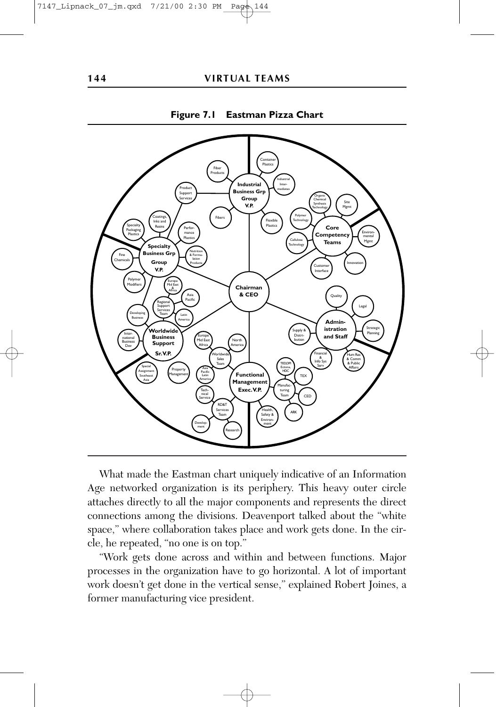

**Figure 7.1 Eastman Pizza Chart**

What made the Eastman chart uniquely indicative of an Information Age networked organization is its periphery. This heavy outer circle attaches directly to all the major components and represents the direct connections among the divisions. Deavenport talked about the "white space," where collaboration takes place and work gets done. In the circle, he repeated, "no one is on top."

"Work gets done across and within and between functions. Major processes in the organization have to go horizontal. A lot of important work doesn't get done in the vertical sense," explained Robert Joines, a former manufacturing vice president.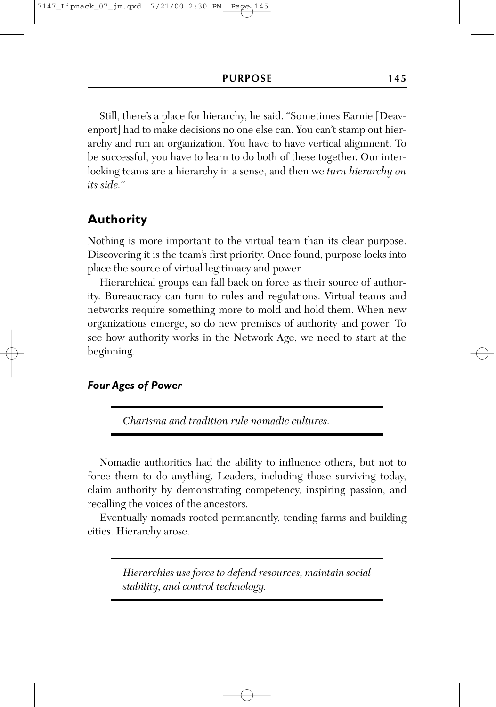Still, there's a place for hierarchy, he said. "Sometimes Earnie [Deavenport] had to make decisions no one else can. You can't stamp out hierarchy and run an organization. You have to have vertical alignment. To be successful, you have to learn to do both of these together. Our interlocking teams are a hierarchy in a sense, and then we *turn hierarchy on its side.*"

# **Authority**

Nothing is more important to the virtual team than its clear purpose. Discovering it is the team's first priority. Once found, purpose locks into place the source of virtual legitimacy and power.

Hierarchical groups can fall back on force as their source of authority. Bureaucracy can turn to rules and regulations. Virtual teams and networks require something more to mold and hold them. When new organizations emerge, so do new premises of authority and power. To see how authority works in the Network Age, we need to start at the beginning.

## *Four Ages of Power*

*Charisma and tradition rule nomadic cultures.*

Nomadic authorities had the ability to influence others, but not to force them to do anything. Leaders, including those surviving today, claim authority by demonstrating competency, inspiring passion, and recalling the voices of the ancestors.

Eventually nomads rooted permanently, tending farms and building cities. Hierarchy arose.

> *Hierarchies use force to defend resources, maintain social stability, and control technology.*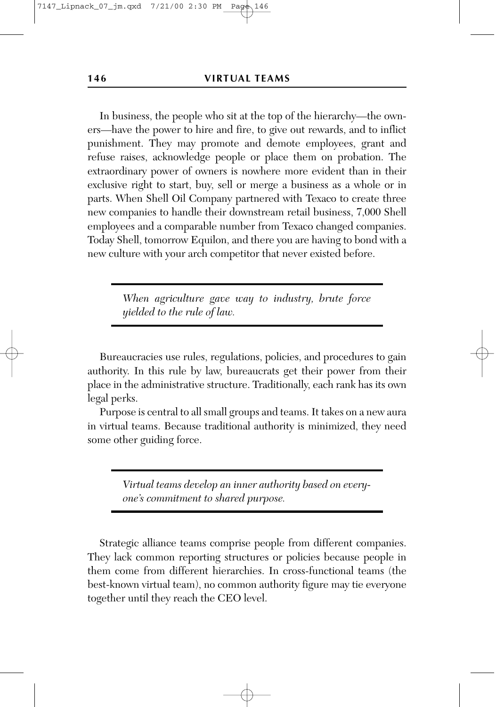In business, the people who sit at the top of the hierarchy—the owners—have the power to hire and fire, to give out rewards, and to inflict punishment. They may promote and demote employees, grant and refuse raises, acknowledge people or place them on probation. The extraordinary power of owners is nowhere more evident than in their exclusive right to start, buy, sell or merge a business as a whole or in parts. When Shell Oil Company partnered with Texaco to create three new companies to handle their downstream retail business, 7,000 Shell employees and a comparable number from Texaco changed companies. Today Shell, tomorrow Equilon, and there you are having to bond with a new culture with your arch competitor that never existed before.

> *When agriculture gave way to industry, brute force yielded to the rule of law.*

Bureaucracies use rules, regulations, policies, and procedures to gain authority. In this rule by law, bureaucrats get their power from their place in the administrative structure. Traditionally, each rank has its own legal perks.

Purpose is central to all small groups and teams. It takes on a new aura in virtual teams. Because traditional authority is minimized, they need some other guiding force.

> *Virtual teams develop an inner authority based on everyone's commitment to shared purpose.*

Strategic alliance teams comprise people from different companies. They lack common reporting structures or policies because people in them come from different hierarchies. In cross-functional teams (the best-known virtual team), no common authority figure may tie everyone together until they reach the CEO level.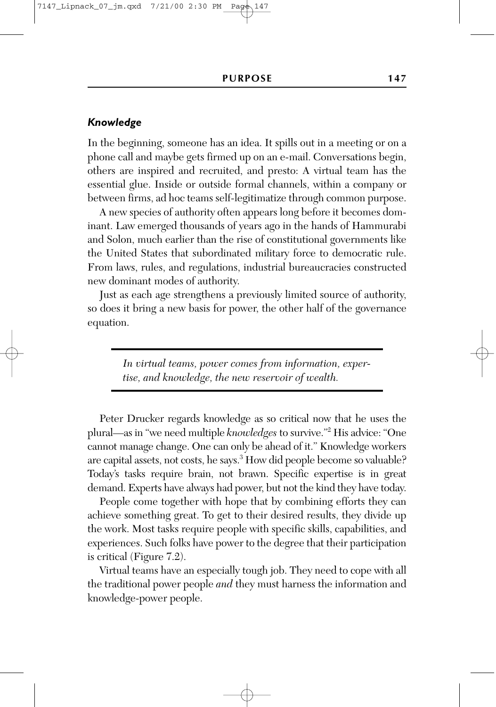#### *Knowledge*

In the beginning, someone has an idea. It spills out in a meeting or on a phone call and maybe gets firmed up on an e-mail. Conversations begin, others are inspired and recruited, and presto: A virtual team has the essential glue. Inside or outside formal channels, within a company or between firms, ad hoc teams self-legitimatize through common purpose.

A new species of authority often appears long before it becomes dominant. Law emerged thousands of years ago in the hands of Hammurabi and Solon, much earlier than the rise of constitutional governments like the United States that subordinated military force to democratic rule. From laws, rules, and regulations, industrial bureaucracies constructed new dominant modes of authority.

Just as each age strengthens a previously limited source of authority, so does it bring a new basis for power, the other half of the governance equation.

> *In virtual teams, power comes from information, expertise, and knowledge, the new reservoir of wealth.*

Peter Drucker regards knowledge as so critical now that he uses the plural—as in "we need multiple *knowledges* to survive."2 His advice: "One cannot manage change. One can only be ahead of it." Knowledge workers are capital assets, not costs, he says.<sup>3</sup> How did people become so valuable? Today's tasks require brain, not brawn. Specific expertise is in great demand. Experts have always had power, but not the kind they have today.

People come together with hope that by combining efforts they can achieve something great. To get to their desired results, they divide up the work. Most tasks require people with specific skills, capabilities, and experiences. Such folks have power to the degree that their participation is critical (Figure 7.2).

Virtual teams have an especially tough job. They need to cope with all the traditional power people *and* they must harness the information and knowledge-power people.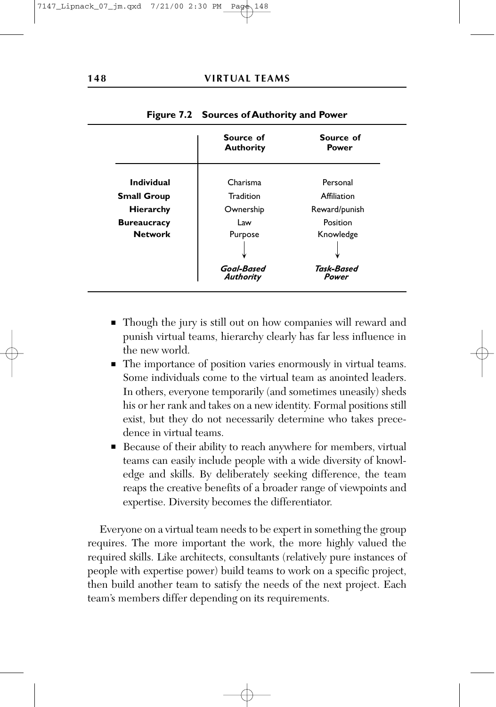|                    | Source of<br><b>Authority</b> | Source of<br>Power         |
|--------------------|-------------------------------|----------------------------|
| Individual         | Charisma                      | Personal                   |
| <b>Small Group</b> | Tradition                     | Affiliation                |
| Hierarchy          | Ownership                     | Reward/punish              |
| <b>Bureaucracy</b> | Law                           | Position                   |
| <b>Network</b>     | Purpose                       | Knowledge                  |
|                    | Goal-Based<br>Authority       | <b>Task-Based</b><br>Power |

**Figure 7.2 Sources of Authority and Power**

- Though the jury is still out on how companies will reward and punish virtual teams, hierarchy clearly has far less influence in the new world.
- The importance of position varies enormously in virtual teams. Some individuals come to the virtual team as anointed leaders. In others, everyone temporarily (and sometimes uneasily) sheds his or her rank and takes on a new identity. Formal positions still exist, but they do not necessarily determine who takes precedence in virtual teams.
- Because of their ability to reach anywhere for members, virtual teams can easily include people with a wide diversity of knowledge and skills. By deliberately seeking difference, the team reaps the creative benefits of a broader range of viewpoints and expertise. Diversity becomes the differentiator.

Everyone on a virtual team needs to be expert in something the group requires. The more important the work, the more highly valued the required skills. Like architects, consultants (relatively pure instances of people with expertise power) build teams to work on a specific project, then build another team to satisfy the needs of the next project. Each team's members differ depending on its requirements.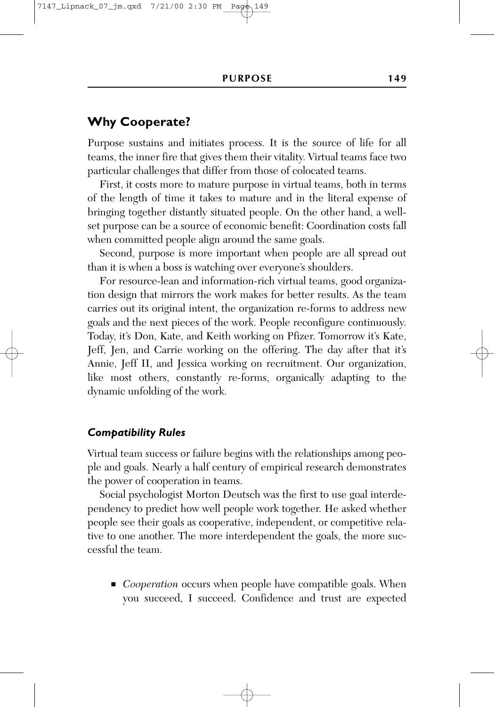## **Why Cooperate?**

Purpose sustains and initiates process. It is the source of life for all teams, the inner fire that gives them their vitality. Virtual teams face two particular challenges that differ from those of colocated teams.

First, it costs more to mature purpose in virtual teams, both in terms of the length of time it takes to mature and in the literal expense of bringing together distantly situated people. On the other hand, a wellset purpose can be a source of economic benefit: Coordination costs fall when committed people align around the same goals.

Second, purpose is more important when people are all spread out than it is when a boss is watching over everyone's shoulders.

For resource-lean and information-rich virtual teams, good organization design that mirrors the work makes for better results. As the team carries out its original intent, the organization re-forms to address new goals and the next pieces of the work. People reconfigure continuously. Today, it's Don, Kate, and Keith working on Pfizer. Tomorrow it's Kate, Jeff, Jen, and Carrie working on the offering. The day after that it's Annie, Jeff II, and Jessica working on recruitment. Our organization, like most others, constantly re-forms, organically adapting to the dynamic unfolding of the work.

#### *Compatibility Rules*

Virtual team success or failure begins with the relationships among people and goals. Nearly a half century of empirical research demonstrates the power of cooperation in teams.

Social psychologist Morton Deutsch was the first to use goal interdependency to predict how well people work together. He asked whether people see their goals as cooperative, independent, or competitive relative to one another. The more interdependent the goals, the more successful the team.

■ *Cooperation* occurs when people have compatible goals. When you succeed, I succeed. Confidence and trust are expected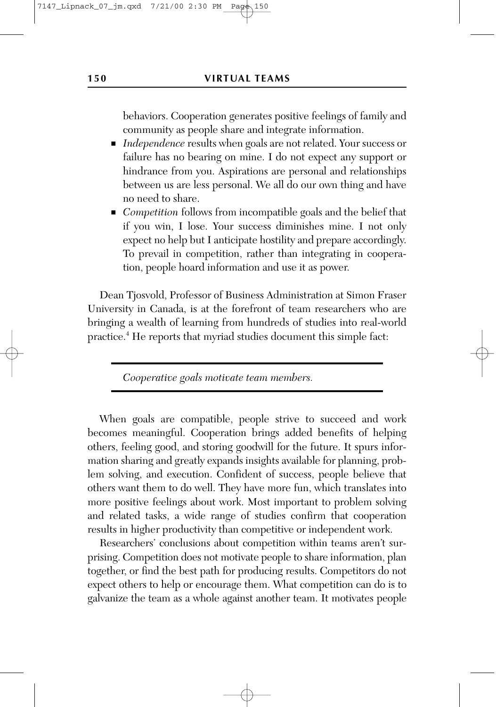behaviors. Cooperation generates positive feelings of family and community as people share and integrate information.

- *Independence* results when goals are not related. Your success or failure has no bearing on mine. I do not expect any support or hindrance from you. Aspirations are personal and relationships between us are less personal. We all do our own thing and have no need to share.
- *Competition* follows from incompatible goals and the belief that if you win, I lose. Your success diminishes mine. I not only expect no help but I anticipate hostility and prepare accordingly. To prevail in competition, rather than integrating in cooperation, people hoard information and use it as power.

Dean Tjosvold, Professor of Business Administration at Simon Fraser University in Canada, is at the forefront of team researchers who are bringing a wealth of learning from hundreds of studies into real-world practice.4 He reports that myriad studies document this simple fact:

*Cooperative goals motivate team members.*

When goals are compatible, people strive to succeed and work becomes meaningful. Cooperation brings added benefits of helping others, feeling good, and storing goodwill for the future. It spurs information sharing and greatly expands insights available for planning, problem solving, and execution. Confident of success, people believe that others want them to do well. They have more fun, which translates into more positive feelings about work. Most important to problem solving and related tasks, a wide range of studies confirm that cooperation results in higher productivity than competitive or independent work.

Researchers' conclusions about competition within teams aren't surprising. Competition does not motivate people to share information, plan together, or find the best path for producing results. Competitors do not expect others to help or encourage them. What competition can do is to galvanize the team as a whole against another team. It motivates people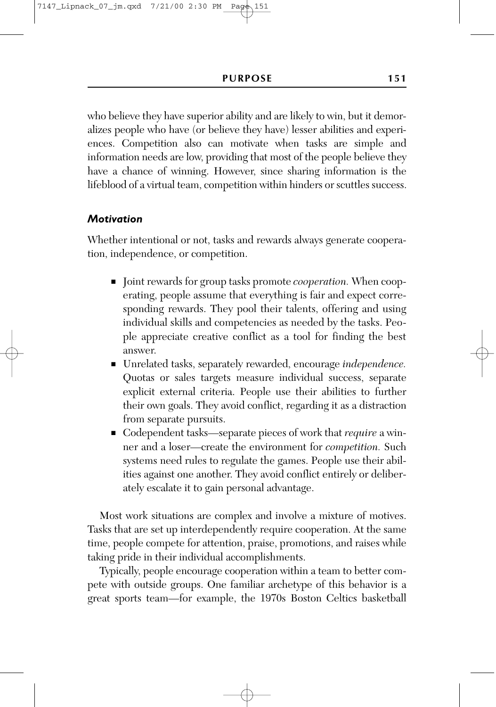who believe they have superior ability and are likely to win, but it demoralizes people who have (or believe they have) lesser abilities and experiences. Competition also can motivate when tasks are simple and information needs are low, providing that most of the people believe they have a chance of winning. However, since sharing information is the lifeblood of a virtual team, competition within hinders or scuttles success.

## *Motivation*

Whether intentional or not, tasks and rewards always generate cooperation, independence, or competition.

- Joint rewards for group tasks promote *cooperation*. When cooperating, people assume that everything is fair and expect corresponding rewards. They pool their talents, offering and using individual skills and competencies as needed by the tasks. People appreciate creative conflict as a tool for finding the best answer.
- Unrelated tasks, separately rewarded, encourage *independence*. Quotas or sales targets measure individual success, separate explicit external criteria. People use their abilities to further their own goals. They avoid conflict, regarding it as a distraction from separate pursuits.
- Codependent tasks—separate pieces of work that *require* a winner and a loser—create the environment for *competition.* Such systems need rules to regulate the games. People use their abilities against one another. They avoid conflict entirely or deliberately escalate it to gain personal advantage.

Most work situations are complex and involve a mixture of motives. Tasks that are set up interdependently require cooperation. At the same time, people compete for attention, praise, promotions, and raises while taking pride in their individual accomplishments.

Typically, people encourage cooperation within a team to better compete with outside groups. One familiar archetype of this behavior is a great sports team—for example, the 1970s Boston Celtics basketball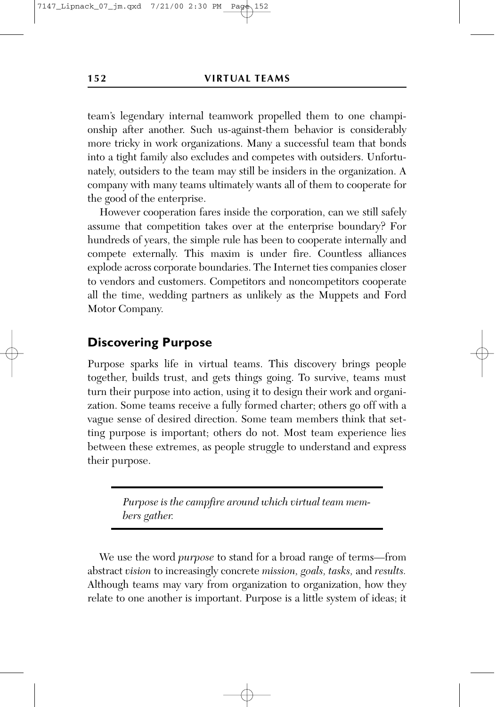team's legendary internal teamwork propelled them to one championship after another. Such us-against-them behavior is considerably more tricky in work organizations. Many a successful team that bonds into a tight family also excludes and competes with outsiders. Unfortunately, outsiders to the team may still be insiders in the organization. A company with many teams ultimately wants all of them to cooperate for the good of the enterprise.

However cooperation fares inside the corporation, can we still safely assume that competition takes over at the enterprise boundary? For hundreds of years, the simple rule has been to cooperate internally and compete externally. This maxim is under fire. Countless alliances explode across corporate boundaries. The Internet ties companies closer to vendors and customers. Competitors and noncompetitors cooperate all the time, wedding partners as unlikely as the Muppets and Ford Motor Company.

## **Discovering Purpose**

Purpose sparks life in virtual teams. This discovery brings people together, builds trust, and gets things going. To survive, teams must turn their purpose into action, using it to design their work and organization. Some teams receive a fully formed charter; others go off with a vague sense of desired direction. Some team members think that setting purpose is important; others do not. Most team experience lies between these extremes, as people struggle to understand and express their purpose.

> *Purpose is the campfire around which virtual team members gather.*

We use the word *purpose* to stand for a broad range of terms—from abstract *vision* to increasingly concrete *mission, goals, tasks,* and *results.* Although teams may vary from organization to organization, how they relate to one another is important. Purpose is a little system of ideas; it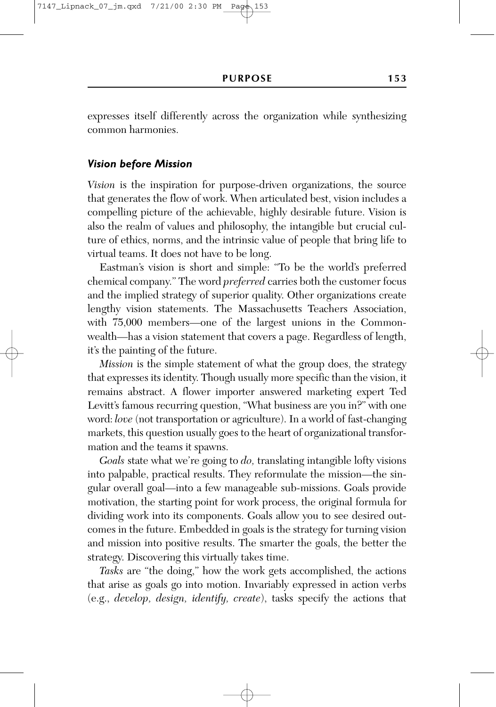expresses itself differently across the organization while synthesizing common harmonies.

#### *Vision before Mission*

*Vision* is the inspiration for purpose-driven organizations, the source that generates the flow of work. When articulated best, vision includes a compelling picture of the achievable, highly desirable future. Vision is also the realm of values and philosophy, the intangible but crucial culture of ethics, norms, and the intrinsic value of people that bring life to virtual teams. It does not have to be long.

Eastman's vision is short and simple: "To be the world's preferred chemical company." The word *preferred* carries both the customer focus and the implied strategy of superior quality. Other organizations create lengthy vision statements. The Massachusetts Teachers Association, with 75,000 members—one of the largest unions in the Commonwealth—has a vision statement that covers a page. Regardless of length, it's the painting of the future.

*Mission* is the simple statement of what the group does, the strategy that expresses its identity. Though usually more specific than the vision, it remains abstract. A flower importer answered marketing expert Ted Levitt's famous recurring question, "What business are you in?" with one word: *love* (not transportation or agriculture). In a world of fast-changing markets, this question usually goes to the heart of organizational transformation and the teams it spawns.

*Goals* state what we're going to *do,* translating intangible lofty visions into palpable, practical results. They reformulate the mission—the singular overall goal—into a few manageable sub-missions. Goals provide motivation, the starting point for work process, the original formula for dividing work into its components. Goals allow you to see desired outcomes in the future. Embedded in goals is the strategy for turning vision and mission into positive results. The smarter the goals, the better the strategy. Discovering this virtually takes time.

*Tasks* are "the doing," how the work gets accomplished, the actions that arise as goals go into motion. Invariably expressed in action verbs (e.g., *develop, design, identify, create*), tasks specify the actions that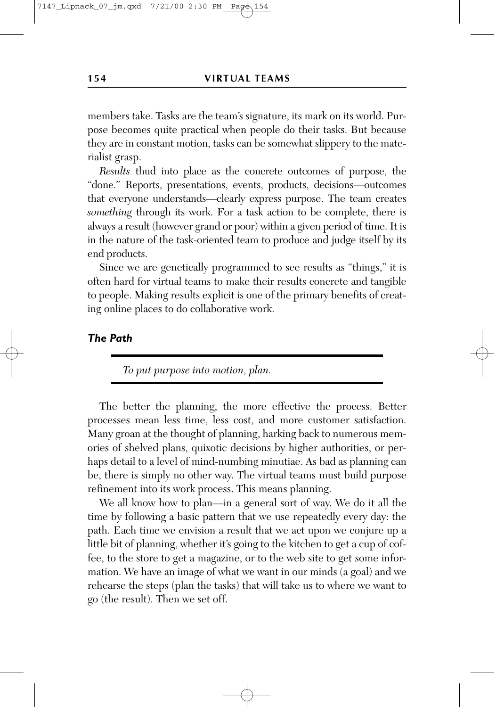members take. Tasks are the team's signature, its mark on its world. Purpose becomes quite practical when people do their tasks. But because they are in constant motion, tasks can be somewhat slippery to the materialist grasp.

*Results* thud into place as the concrete outcomes of purpose, the "done." Reports, presentations, events, products, decisions—outcomes that everyone understands—clearly express purpose. The team creates *something* through its work. For a task action to be complete, there is always a result (however grand or poor) within a given period of time. It is in the nature of the task-oriented team to produce and judge itself by its end products.

Since we are genetically programmed to see results as "things," it is often hard for virtual teams to make their results concrete and tangible to people. Making results explicit is one of the primary benefits of creating online places to do collaborative work.

#### *The Path*

*To put purpose into motion, plan.*

The better the planning, the more effective the process. Better processes mean less time, less cost, and more customer satisfaction. Many groan at the thought of planning, harking back to numerous memories of shelved plans, quixotic decisions by higher authorities, or perhaps detail to a level of mind-numbing minutiae. As bad as planning can be, there is simply no other way. The virtual teams must build purpose refinement into its work process. This means planning.

We all know how to plan—in a general sort of way. We do it all the time by following a basic pattern that we use repeatedly every day: the path. Each time we envision a result that we act upon we conjure up a little bit of planning, whether it's going to the kitchen to get a cup of coffee, to the store to get a magazine, or to the web site to get some information. We have an image of what we want in our minds (a goal) and we rehearse the steps (plan the tasks) that will take us to where we want to go (the result). Then we set off.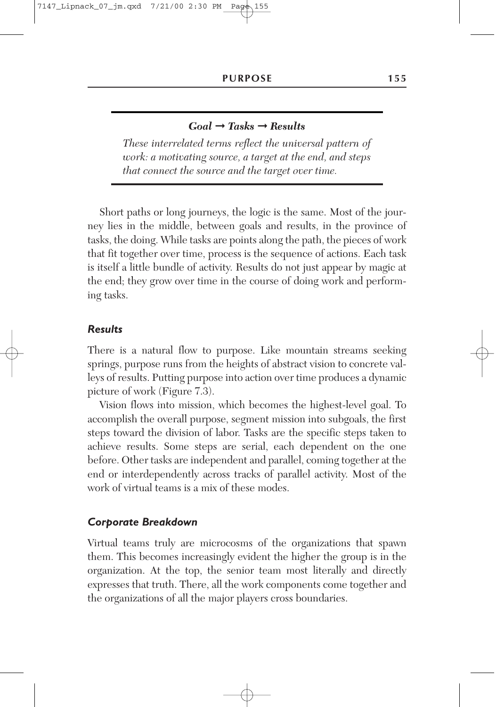#### $Goal \rightarrow Tasks \rightarrow Results$

*These interrelated terms reflect the universal pattern of work: a motivating source, a target at the end, and steps that connect the source and the target over time.*

Short paths or long journeys, the logic is the same. Most of the journey lies in the middle, between goals and results, in the province of tasks, the doing. While tasks are points along the path, the pieces of work that fit together over time, process is the sequence of actions. Each task is itself a little bundle of activity. Results do not just appear by magic at the end; they grow over time in the course of doing work and performing tasks.

#### *Results*

There is a natural flow to purpose. Like mountain streams seeking springs, purpose runs from the heights of abstract vision to concrete valleys of results. Putting purpose into action over time produces a dynamic picture of work (Figure 7.3).

Vision flows into mission, which becomes the highest-level goal. To accomplish the overall purpose, segment mission into subgoals, the first steps toward the division of labor. Tasks are the specific steps taken to achieve results. Some steps are serial, each dependent on the one before. Other tasks are independent and parallel, coming together at the end or interdependently across tracks of parallel activity. Most of the work of virtual teams is a mix of these modes.

#### *Corporate Breakdown*

Virtual teams truly are microcosms of the organizations that spawn them. This becomes increasingly evident the higher the group is in the organization. At the top, the senior team most literally and directly expresses that truth. There, all the work components come together and the organizations of all the major players cross boundaries.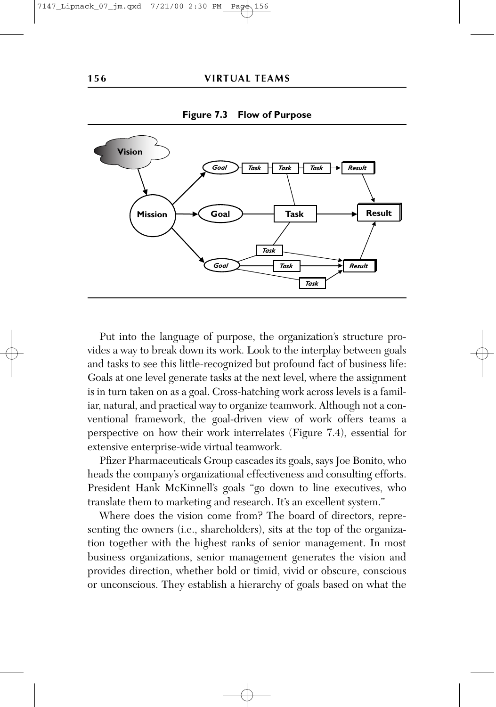

Put into the language of purpose, the organization's structure provides a way to break down its work. Look to the interplay between goals and tasks to see this little-recognized but profound fact of business life: Goals at one level generate tasks at the next level, where the assignment is in turn taken on as a goal. Cross-hatching work across levels is a familiar, natural, and practical way to organize teamwork. Although not a conventional framework, the goal-driven view of work offers teams a perspective on how their work interrelates (Figure 7.4), essential for extensive enterprise-wide virtual teamwork.

Pfizer Pharmaceuticals Group cascades its goals, says Joe Bonito, who heads the company's organizational effectiveness and consulting efforts. President Hank McKinnell's goals "go down to line executives, who translate them to marketing and research. It's an excellent system."

Where does the vision come from? The board of directors, representing the owners (i.e., shareholders), sits at the top of the organization together with the highest ranks of senior management. In most business organizations, senior management generates the vision and provides direction, whether bold or timid, vivid or obscure, conscious or unconscious. They establish a hierarchy of goals based on what the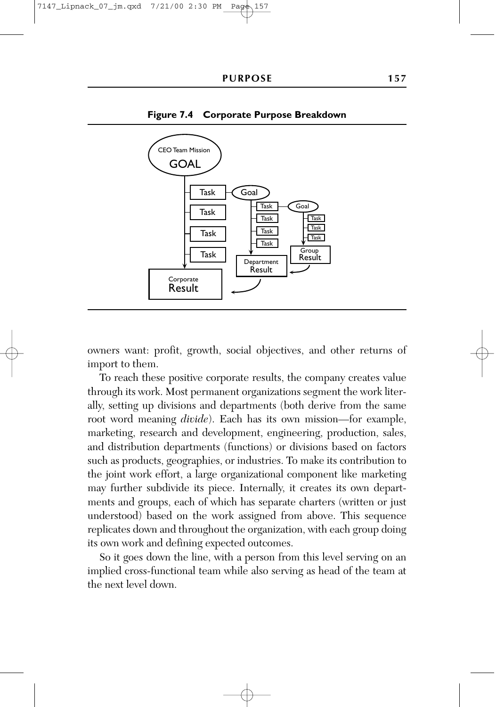

**Figure 7.4 Corporate Purpose Breakdown**

owners want: profit, growth, social objectives, and other returns of import to them.

To reach these positive corporate results, the company creates value through its work. Most permanent organizations segment the work literally, setting up divisions and departments (both derive from the same root word meaning *divide*). Each has its own mission—for example, marketing, research and development, engineering, production, sales, and distribution departments (functions) or divisions based on factors such as products, geographies, or industries. To make its contribution to the joint work effort, a large organizational component like marketing may further subdivide its piece. Internally, it creates its own departments and groups, each of which has separate charters (written or just understood) based on the work assigned from above. This sequence replicates down and throughout the organization, with each group doing its own work and defining expected outcomes.

So it goes down the line, with a person from this level serving on an implied cross-functional team while also serving as head of the team at the next level down.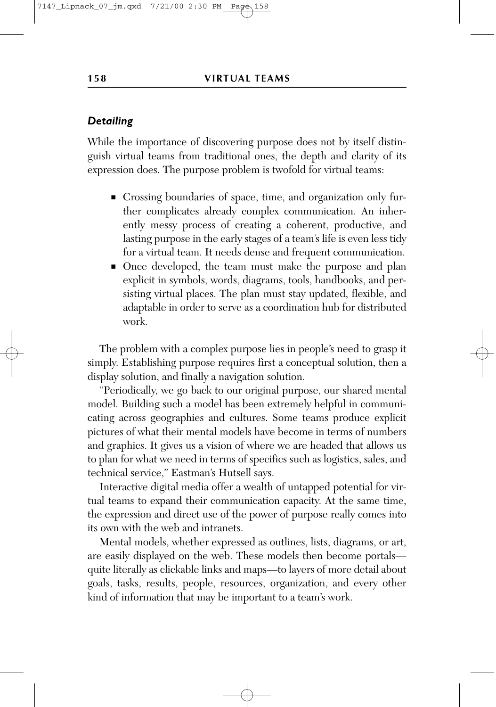## *Detailing*

While the importance of discovering purpose does not by itself distinguish virtual teams from traditional ones, the depth and clarity of its expression does. The purpose problem is twofold for virtual teams:

- Crossing boundaries of space, time, and organization only further complicates already complex communication. An inherently messy process of creating a coherent, productive, and lasting purpose in the early stages of a team's life is even less tidy for a virtual team. It needs dense and frequent communication.
- Once developed, the team must make the purpose and plan explicit in symbols, words, diagrams, tools, handbooks, and persisting virtual places. The plan must stay updated, flexible, and adaptable in order to serve as a coordination hub for distributed work.

The problem with a complex purpose lies in people's need to grasp it simply. Establishing purpose requires first a conceptual solution, then a display solution, and finally a navigation solution.

"Periodically, we go back to our original purpose, our shared mental model. Building such a model has been extremely helpful in communicating across geographies and cultures. Some teams produce explicit pictures of what their mental models have become in terms of numbers and graphics. It gives us a vision of where we are headed that allows us to plan for what we need in terms of specifics such as logistics, sales, and technical service," Eastman's Hutsell says.

Interactive digital media offer a wealth of untapped potential for virtual teams to expand their communication capacity. At the same time, the expression and direct use of the power of purpose really comes into its own with the web and intranets.

Mental models, whether expressed as outlines, lists, diagrams, or art, are easily displayed on the web. These models then become portals quite literally as clickable links and maps—to layers of more detail about goals, tasks, results, people, resources, organization, and every other kind of information that may be important to a team's work.